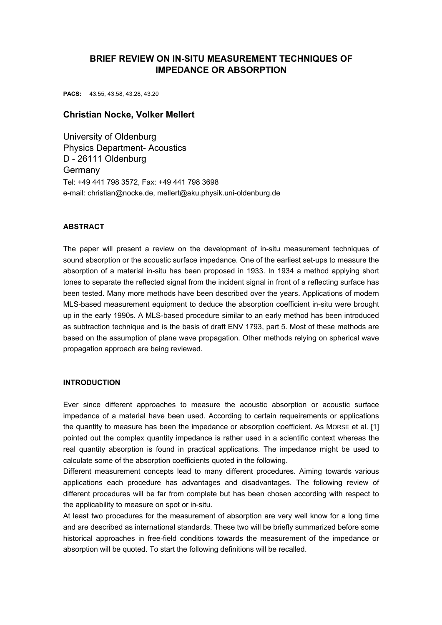# **BRIEF REVIEW ON IN-SITU MEASUREMENT TECHNIQUES OF IMPEDANCE OR ABSORPTION**

**PACS:** 43.55, 43.58, 43.28, 43.20

# **Christian Nocke, Volker Mellert**

University of Oldenburg Physics Department- Acoustics D - 26111 Oldenburg Germany Tel: +49 441 798 3572, Fax: +49 441 798 3698 e-mail: christian@nocke.de, mellert@aku.physik.uni-oldenburg.de

## **ABSTRACT**

The paper will present a review on the development of in-situ measurement techniques of sound absorption or the acoustic surface impedance. One of the earliest set-ups to measure the absorption of a material in-situ has been proposed in 1933. In 1934 a method applying short tones to separate the reflected signal from the incident signal in front of a reflecting surface has been tested. Many more methods have been described over the years. Applications of modern MLS-based measurement equipment to deduce the absorption coefficient in-situ were brought up in the early 1990s. A MLS-based procedure similar to an early method has been introduced as subtraction technique and is the basis of draft ENV 1793, part 5. Most of these methods are based on the assumption of plane wave propagation. Other methods relying on spherical wave propagation approach are being reviewed.

# **INTRODUCTION**

Ever since different approaches to measure the acoustic absorption or acoustic surface impedance of a material have been used. According to certain requeirements or applications the quantity to measure has been the impedance or absorption coefficient. As MORSE et al. [\[1\]](#page-4-0)  pointed out the complex quantity impedance is rather used in a scientific context whereas the real quantity absorption is found in practical applications. The impedance might be used to calculate some of the absorption coefficients quoted in the following.

Different measurement concepts lead to many different procedures. Aiming towards various applications each procedure has advantages and disadvantages. The following review of different procedures will be far from complete but has been chosen according with respect to the applicability to measure on spot or in-situ.

At least two procedures for the measurement of absorption are very well know for a long time and are described as international standards. These two will be briefly summarized before some historical approaches in free-field conditions towards the measurement of the impedance or absorption will be quoted. To start the following definitions will be recalled.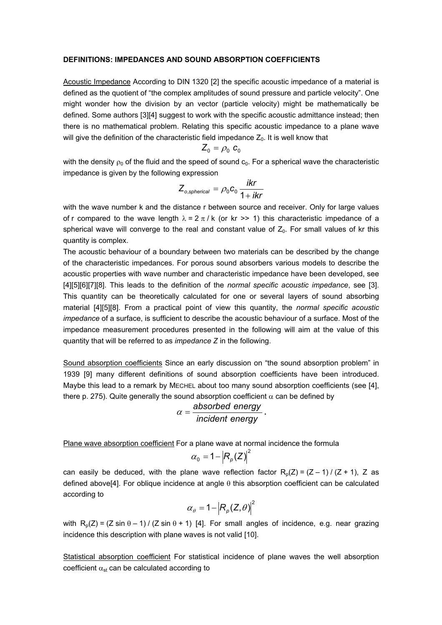#### **DEFINITIONS: IMPEDANCES AND SOUND ABSORPTION COEFFICIENTS**

Acoustic Impedance According to DIN 1320 [\[2\]](#page-4-1) the specific acoustic impedance of a material is defined as the quotient of "the complex amplitudes of sound pressure and particle velocity". One might wonder how the division by an vector (particle velocity) might be mathematically be defined. Some authors [\[3\]](#page-4-2)[\[4\]](#page-4-3) suggest to work with the specific acoustic admittance instead; then there is no mathematical problem. Relating this specific acoustic impedance to a plane wave will give the definition of the characteristic field impedance  $Z_0$ . It is well know that

$$
Z_0 = \rho_0 \; \textbf{c}_0
$$

with the density  $\rho_0$  of the fluid and the speed of sound  $c_0$ . For a spherical wave the characteristic impedance is given by the following expression

$$
Z_{o,spherical} = \rho_0 c_0 \frac{ikr}{1+ikr}
$$

with the wave number k and the distance r between source and receiver. Only for large values of r compared to the wave length  $\lambda = 2 \pi / k$  (or kr >> 1) this characteristic impedance of a spherical wave will converge to the real and constant value of  $Z_0$ . For small values of kr this quantity is complex.

The acoustic behaviour of a boundary between two materials can be described by the change of the characteristic impedances. For porous sound absorbers various models to describe the acoustic properties with wave number and characteristic impedance have been developed, see [\[4\]](#page-4-3)[\[5\]](#page-4-4)[\[6\]](#page-4-5)[\[7\]](#page-4-6)[\[8\].](#page-4-7) This leads to the definition of the *normal specific acoustic impedance*, see [\[3\].](#page-4-2) This quantity can be theoretically calculated for one or several layers of sound absorbing material [\[4\]](#page-4-3)[\[5\]](#page-4-4)[\[8\].](#page-4-7) From a practical point of view this quantity, the *normal specific acoustic impedance* of a surface, is sufficient to describe the acoustic behaviour of a surface. Most of the impedance measurement procedures presented in the following will aim at the value of this quantity that will be referred to as *impedance Z* in the following.

Sound absorption coefficients Since an early discussion on "the sound absorption problem" in 1939 [\[9\]](#page-4-8) many different definitions of sound absorption coefficients have been introduced. Maybe this lead to a remark by MECHEL about too many sound absorption coefficients (see [\[4\],](#page-4-3) there p. 275). Quite generally the sound absorption coefficient  $\alpha$  can be defined by

$$
\alpha = \frac{\text{absorbed energy}}{\text{incident energy}}.
$$

Plane wave absorption coefficient For a plane wave at normal incidence the formula

$$
\alpha_{0}=1-\left|R_{p}(Z)\right|^{2}
$$

can easily be deduced, with the plane wave reflection factor  $R_p(Z) = (Z - 1) / (Z + 1)$ , Z as defined above[\[4\].](#page-4-3) For oblique incidence at angle θ this absorption coefficient can be calculated according to

$$
\alpha_{\theta} = 1 - \left| R_{p}(Z, \theta) \right|^{2}
$$

with  $R_p(Z) = (Z \sin \theta - 1) / (Z \sin \theta + 1)$  [\[4\].](#page-4-3) For small angles of incidence, e.g. near grazing incidence this description with plane waves is not valid [\[10\].](#page-4-9)

Statistical absorption coefficient For statistical incidence of plane waves the well absorption coefficient  $\alpha_{st}$  can be calculated according to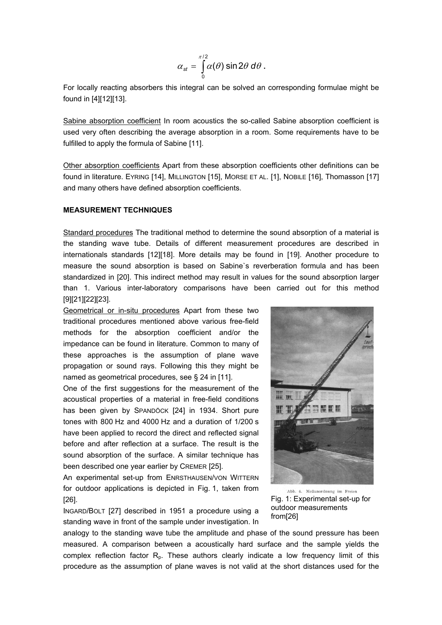$$
\alpha_{\text{st}} = \int\limits_{0}^{\pi/2} \alpha(\theta) \sin 2\theta \, d\theta \, .
$$

For locally reacting absorbers this integral can be solved an corresponding formulae might be found in [\[4\]](#page-4-3)[\[12\]](#page-4-10)[\[13\].](#page-4-11)

Sabine absorption coefficient In room acoustics the so-called Sabine absorption coefficient is used very often describing the average absorption in a room. Some requirements have to be fulfilled to apply the formula of Sabine [\[11\].](#page-4-12)

Other absorption coefficients Apart from these absorption coefficients other definitions can be found in literature. EYRING [\[14\],](#page-4-13) MILLINGTON [\[15\],](#page-4-14) MORSE ET AL. [\[1\],](#page-4-0) NOBILE [\[16\],](#page-4-15) Thomasson [\[17\]](#page-4-16)  and many others have defined absorption coefficients.

#### **MEASUREMENT TECHNIQUES**

Standard procedures The traditional method to determine the sound absorption of a material is the standing wave tube. Details of different measurement procedures are described in internationals standards [\[12\]](#page-4-10)[\[18\].](#page-5-0) More details may be found in [\[19\].](#page-5-1) Another procedure to measure the sound absorption is based on Sabine`s reverberation formula and has been standardized in [\[20\].](#page-5-2) This indirect method may result in values for the sound absorption larger than 1. Various inter-laboratory comparisons have been carried out for this method [\[9\]](#page-4-8)[\[21\]](#page-5-3)[\[22\]](#page-5-4)[\[23\].](#page-5-5)

Geometrical or in-situ procedures Apart from these two traditional procedures mentioned above various free-field methods for the absorption coefficient and/or the impedance can be found in literature. Common to many of these approaches is the assumption of plane wave propagation or sound rays. Following this they might be named as geometrical procedures, see § 24 in [\[11\].](#page-4-12)

One of the first suggestions for the measurement of the acoustical properties of a material in free-field conditions has been given by SPANDÖCK [\[24](#page-5-6)] in 1934. Short pure tones with 800 Hz and 4000 Hz and a duration of 1/200 s have been applied to record the direct and reflected signal before and after reflection at a surface. The result is the sound absorption of the surface. A similar technique has been described one year earlier by CREMER [\[25\].](#page-5-7)

An experimental set-up from ENRSTHAUSEN/VON WITTERN for outdoor applications is depicted in Fig. 1, taken from [\[26\].](#page-5-8)

INGARD/BOLT [\[27\]](#page-5-9) described in 1951 a procedure using a standing wave in front of the sample under investigation. In



Abb. 4. Meßanordnung im Freien Fig. 1: Experimental set-up for outdoor measurements from[\[26\]](#page-5-8) 

analogy to the standing wave tube the amplitude and phase of the sound pressure has been measured. A comparison between a acoustically hard surface and the sample yields the complex reflection factor  $R_p$ . These authors clearly indicate a low frequency limit of this procedure as the assumption of plane waves is not valid at the short distances used for the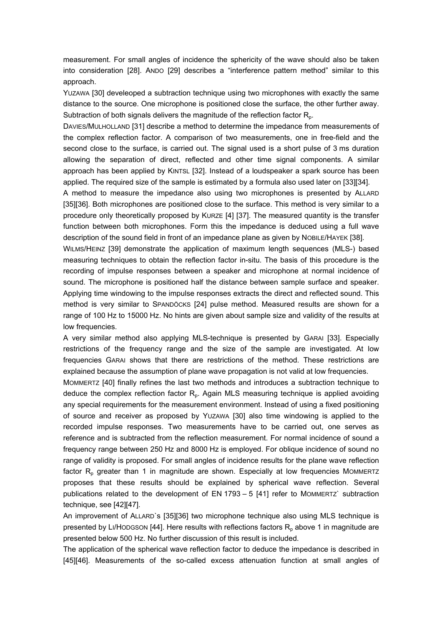measurement. For small angles of incidence the sphericity of the wave should also be taken into consideration [\[28\].](#page-5-10) ANDO [\[29\]](#page-5-11) describes a "interference pattern method" similar to this approach.

YUZAWA [\[30\]](#page-5-12) develeoped a subtraction technique using two microphones with exactly the same distance to the source. One microphone is positioned close the surface, the other further away. Subtraction of both signals delivers the magnitude of the reflection factor  $R_{p}$ .

DAVIES/MULHOLLAND [\[31\]](#page-5-13) describe a method to determine the impedance from measurements of the complex reflection factor. A comparison of two measurements, one in free-field and the second close to the surface, is carried out. The signal used is a short pulse of 3 ms duration allowing the separation of direct, reflected and other time signal components. A similar approach has been applied by KINTSL [\[32\].](#page-5-14) Instead of a loudspeaker a spark source has been applied. The required size of the sample is estimated by a formula also used later on [\[33\]](#page-5-15)[\[34\].](#page-5-16)

A method to measure the impedance also using two microphones is presented by ALLARD [\[35\]](#page-5-17)[\[36\].](#page-5-18) Both microphones are positioned close to the surface. This method is very similar to a procedure only theoretically proposed by KURZE [\[4\]](#page-4-3) [\[37\].](#page-5-19) The measured quantity is the transfer function between both microphones. Form this the impedance is deduced using a full wave description of the sound field in front of an impedance plane as given by NOBILE/HAYEK [\[38\].](#page-5-20)

WILMS/HEINZ [\[39\]](#page-5-21) demonstrate the application of maximum length sequences (MLS-) based measuring techniques to obtain the reflection factor in-situ. The basis of this procedure is the recording of impulse responses between a speaker and microphone at normal incidence of sound. The microphone is positioned half the distance between sample surface and speaker. Applying time windowing to the impulse responses extracts the direct and reflected sound. This method is very similar to SPANDÖCKS [\[24\]](#page-5-6) pulse method. Measured results are shown for a range of 100 Hz to 15000 Hz. No hints are given about sample size and validity of the results at low frequencies.

A very similar method also applying MLS-technique is presented by GARAI [\[33\].](#page-5-15) Especially restrictions of the frequency range and the size of the sample are investigated. At low frequencies GARAI shows that there are restrictions of the method. These restrictions are explained because the assumption of plane wave propagation is not valid at low frequencies.

MOMMERTZ [\[40\]](#page-5-22) finally refines the last two methods and introduces a subtraction technique to deduce the complex reflection factor  $R_p$ . Again MLS measuring technique is applied avoiding any special requirements for the measurement environment. Instead of using a fixed positioning of source and receiver as proposed by YUZAWA [\[30\]](#page-5-12) also time windowing is applied to the recorded impulse responses. Two measurements have to be carried out, one serves as reference and is subtracted from the reflection measurement. For normal incidence of sound a frequency range between 250 Hz and 8000 Hz is employed. For oblique incidence of sound no range of validity is proposed. For small angles of incidence results for the plane wave reflection factor  $R_p$  greater than 1 in magnitude are shown. Especially at low frequencies MOMMERTZ proposes that these results should be explained by spherical wave reflection. Several publications related to the development of EN 1793 – 5 [\[41\]](#page-5-23) refer to MOMMERTZ` subtraction technique, see [\[42\]](#page-5-24)[\[47\].](#page-5-25)

An improvement of ALLARD`s [\[35\]](#page-5-17)[\[36\]](#page-5-18) two microphone technique also using MLS technique is presented by LI/HODGSON [\[44\].](#page-5-26) Here results with reflections factors  $R_p$  above 1 in magnitude are presented below 500 Hz. No further discussion of this result is included.

The application of the spherical wave reflection factor to deduce the impedance is described in [\[45\]](#page-5-27)[\[46\].](#page-5-28) Measurements of the so-called excess attenuation function at small angles of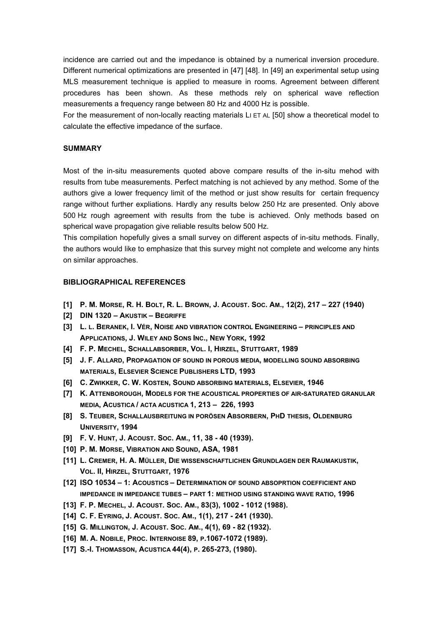incidence are carried out and the impedance is obtained by a numerical inversion procedure. Different numerical optimizations are presented in [\[47\]](#page-5-25) [\[48\].](#page-5-29) In [\[49\]](#page-5-30) an experimental setup using MLS measurement technique is applied to measure in rooms. Agreement between different procedures has been shown. As these methods rely on spherical wave reflection measurements a frequency range between 80 Hz and 4000 Hz is possible.

For the measurement of non-locally reacting materials LI ET AL [\[50\]](#page-5-31) show a theoretical model to calculate the effective impedance of the surface.

#### **SUMMARY**

Most of the in-situ measurements quoted above compare results of the in-situ mehod with results from tube measurements. Perfect matching is not achieved by any method. Some of the authors give a lower frequency limit of the method or just show results for certain frequency range without further expliations. Hardly any results below 250 Hz are presented. Only above 500 Hz rough agreement with results from the tube is achieved. Only methods based on spherical wave propagation give reliable results below 500 Hz.

This compilation hopefully gives a small survey on different aspects of in-situ methods. Finally, the authors would like to emphasize that this survey might not complete and welcome any hints on similar approaches.

### **BIBLIOGRAPHICAL REFERENCES**

- <span id="page-4-0"></span>**[1] P. M. MORSE, R. H. BOLT, R. L. BROWN, J. ACOUST. SOC. AM., 12(2), 217 – 227 (1940)**
- <span id="page-4-1"></span>**[2] DIN 1320 – AKUSTIK – BEGRIFFE**
- <span id="page-4-2"></span>**[3] L. L. BERANEK, I. VÉR, NOISE AND VIBRATION CONTROL ENGINEERING – PRINCIPLES AND APPLICATIONS, J. WILEY AND SONS INC., NEW YORK, 1992**
- <span id="page-4-3"></span>**[4] F. P. MECHEL, SCHALLABSORBER, VOL. I, HIRZEL, STUTTGART, 1989**
- <span id="page-4-4"></span>**[5] J. F. ALLARD, PROPAGATION OF SOUND IN POROUS MEDIA, MODELLING SOUND ABSORBING MATERIALS, ELSEVIER SCIENCE PUBLISHERS LTD, 1993**
- <span id="page-4-5"></span>**[6] C. ZWIKKER, C. W. KOSTEN, SOUND ABSORBING MATERIALS, ELSEVIER, 1946**
- <span id="page-4-6"></span>**[7] K. ATTENBOROUGH, MODELS FOR THE ACOUSTICAL PROPERTIES OF AIR-SATURATED GRANULAR MEDIA, ACUSTICA / ACTA ACUSTICA 1, 213 – 226, 1993**
- <span id="page-4-7"></span>**[8] S. TEUBER, SCHALLAUSBREITUNG IN PORÖSEN ABSORBERN, PHD THESIS, OLDENBURG UNIVERSITY, 1994**
- <span id="page-4-8"></span>**[9] F. V. HUNT, J. ACOUST. SOC. AM., 11, 38 - 40 (1939).**
- <span id="page-4-9"></span>**[10] P. M. MORSE, VIBRATION AND SOUND, ASA, 1981**
- <span id="page-4-12"></span>**[11] L. CREMER, H. A. MÜLLER, DIE WISSENSCHAFTLICHEN GRUNDLAGEN DER RAUMAKUSTIK, VOL. II, HIRZEL, STUTTGART, 1976**
- <span id="page-4-10"></span>**[12] ISO 10534 – 1: ACOUSTICS – DETERMINATION OF SOUND ABSOPRTION COEFFICIENT AND IMPEDANCE IN IMPEDANCE TUBES – PART 1: METHOD USING STANDING WAVE RATIO, 1996**
- <span id="page-4-11"></span>**[13] F. P. MECHEL, J. ACOUST. SOC. AM., 83(3), 1002 - 1012 (1988).**
- <span id="page-4-13"></span>**[14] C. F. EYRING, J. ACOUST. SOC. AM., 1(1), 217 - 241 (1930).**
- <span id="page-4-14"></span>**[15] G. MILLINGTON, J. ACOUST. SOC. AM., 4(1), 69 - 82 (1932).**
- <span id="page-4-15"></span>**[16] M. A. NOBILE, PROC. INTERNOISE 89, P.1067-1072 (1989).**
- <span id="page-4-16"></span>**[17] S.-I. THOMASSON, ACUSTICA 44(4), P. 265-273, (1980).**